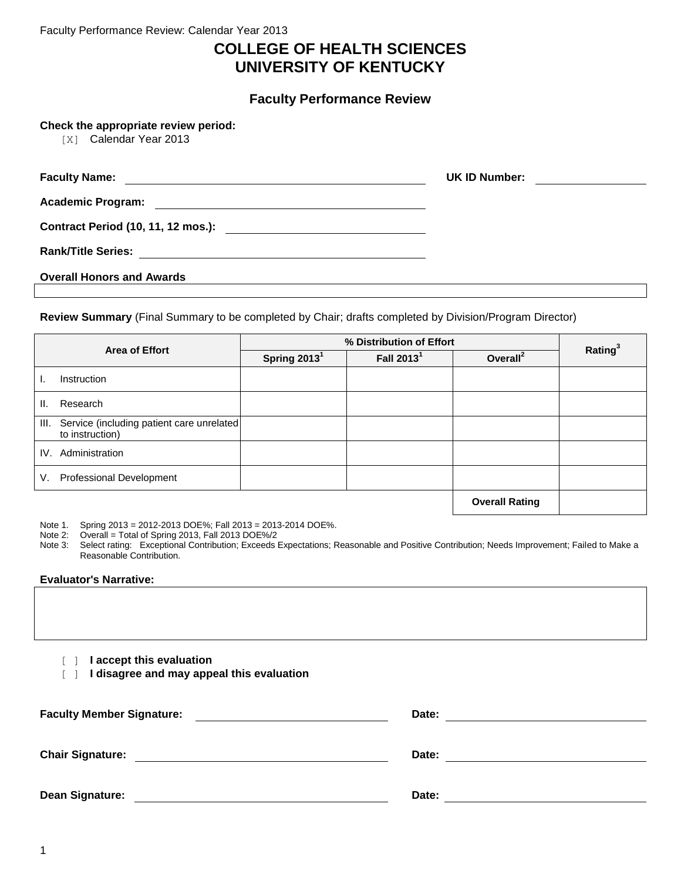Faculty Performance Review: Calendar Year 2013

# **COLLEGE OF HEALTH SCIENCES UNIVERSITY OF KENTUCKY**

**Faculty Performance Review**

**Check the appropriate review period:**

[X] Calendar Year 2013

| <b>Faculty Name:</b>                                                                   | UK ID Number: |
|----------------------------------------------------------------------------------------|---------------|
| <b>Academic Program:</b><br><u> 1980 - Jan James Barnett, fransk politik (d. 1980)</u> |               |
|                                                                                        |               |
| <b>Rank/Title Series:</b>                                                              |               |
| <b>Overall Honors and Awards</b>                                                       |               |

**Review Summary** (Final Summary to be completed by Chair; drafts completed by Division/Program Director)

|    | <b>Area of Effort</b>                                        |                | % Distribution of Effort | Rating <sup>3</sup>   |  |
|----|--------------------------------------------------------------|----------------|--------------------------|-----------------------|--|
|    |                                                              | Spring $20131$ | Fall 2013 <sup>1</sup>   | Overall <sup>2</sup>  |  |
|    | Instruction                                                  |                |                          |                       |  |
| Ш. | Research                                                     |                |                          |                       |  |
| Ш. | Service (including patient care unrelated<br>to instruction) |                |                          |                       |  |
|    | IV. Administration                                           |                |                          |                       |  |
| V. | <b>Professional Development</b>                              |                |                          |                       |  |
|    |                                                              |                |                          | <b>Overall Rating</b> |  |

Note 1. Spring 2013 = 2012-2013 DOE%; Fall 2013 = 2013-2014 DOE%.<br>Note 2: Overall = Total of Spring 2013. Fall 2013 DOE%/2

 $Overall = Total of Spring 2013, Fall 2013 DOE%2$ 

Note 3: Select rating: Exceptional Contribution; Exceeds Expectations; Reasonable and Positive Contribution; Needs Improvement; Failed to Make a Reasonable Contribution.

### **Evaluator's Narrative:**

[ ] **I accept this evaluation**

[ ] **I disagree and may appeal this evaluation**

| <b>Faculty Member Signature:</b> | Date: |
|----------------------------------|-------|
| <b>Chair Signature:</b>          | Date: |
| <b>Dean Signature:</b>           | Date: |

1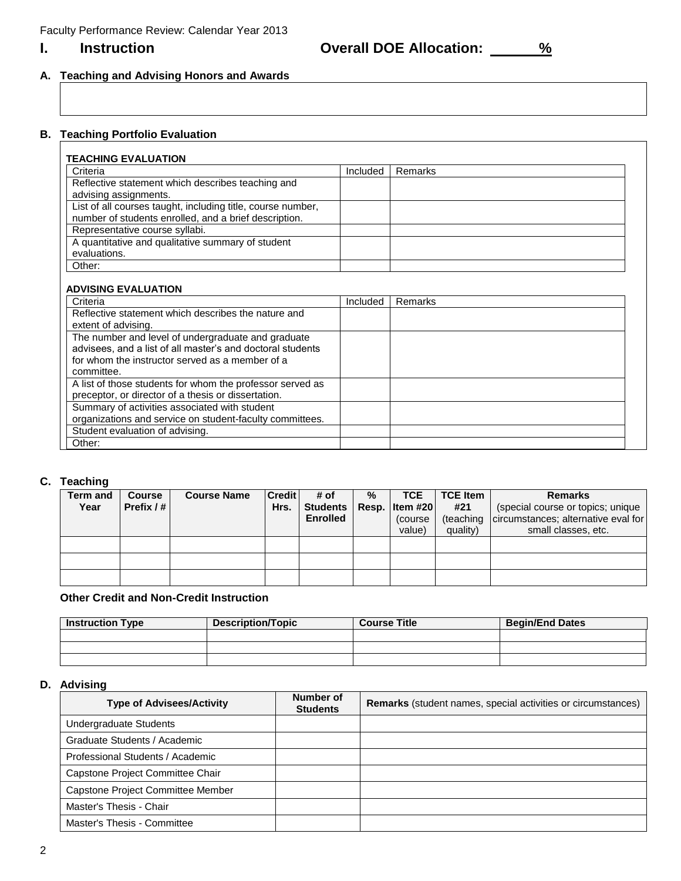**I.** Instruction **COVERIL DOE Allocation:**  $\frac{96}{6}$ 

# **A. Teaching and Advising Honors and Awards**

# **B. Teaching Portfolio Evaluation**

| Criteria                                                                                                             | Included | Remarks |
|----------------------------------------------------------------------------------------------------------------------|----------|---------|
| Reflective statement which describes teaching and<br>advising assignments.                                           |          |         |
| List of all courses taught, including title, course number,<br>number of students enrolled, and a brief description. |          |         |
| Representative course syllabi.                                                                                       |          |         |
| A quantitative and qualitative summary of student<br>evaluations.                                                    |          |         |
| Other:                                                                                                               |          |         |

## **ADVISING EVALUATION**

| Criteria                                                   | Included | Remarks |
|------------------------------------------------------------|----------|---------|
| Reflective statement which describes the nature and        |          |         |
| extent of advising.                                        |          |         |
| The number and level of undergraduate and graduate         |          |         |
| advisees, and a list of all master's and doctoral students |          |         |
| for whom the instructor served as a member of a            |          |         |
| committee.                                                 |          |         |
| A list of those students for whom the professor served as  |          |         |
| preceptor, or director of a thesis or dissertation.        |          |         |
| Summary of activities associated with student              |          |         |
| organizations and service on student-faculty committees.   |          |         |
| Student evaluation of advising.                            |          |         |
| Other:                                                     |          |         |

## **C. Teaching**

| <b>Term and</b><br>Year | <b>Course</b><br>Prefix $/$ # | <b>Course Name</b> | <b>Credit</b><br>Hrs. | # of<br>Students   Resp.   Item #20  <br><b>Enrolled</b> | % | <b>TCE</b><br>(course)<br>value) | <b>TCE Item</b><br>#21<br>(teaching<br>quality) | <b>Remarks</b><br>(special course or topics; unique  <br>circumstances; alternative eval for<br>small classes, etc. |
|-------------------------|-------------------------------|--------------------|-----------------------|----------------------------------------------------------|---|----------------------------------|-------------------------------------------------|---------------------------------------------------------------------------------------------------------------------|
|                         |                               |                    |                       |                                                          |   |                                  |                                                 |                                                                                                                     |
|                         |                               |                    |                       |                                                          |   |                                  |                                                 |                                                                                                                     |
|                         |                               |                    |                       |                                                          |   |                                  |                                                 |                                                                                                                     |

## **Other Credit and Non-Credit Instruction**

| <b>Instruction Type</b> | <b>Description/Topic</b> | <b>Course Title</b> | <b>Begin/End Dates</b> |
|-------------------------|--------------------------|---------------------|------------------------|
|                         |                          |                     |                        |
|                         |                          |                     |                        |
|                         |                          |                     |                        |

## **D. Advising**

| <b>Type of Advisees/Activity</b>  | Number of<br><b>Students</b> | <b>Remarks</b> (student names, special activities or circumstances) |
|-----------------------------------|------------------------------|---------------------------------------------------------------------|
| Undergraduate Students            |                              |                                                                     |
| Graduate Students / Academic      |                              |                                                                     |
| Professional Students / Academic  |                              |                                                                     |
| Capstone Project Committee Chair  |                              |                                                                     |
| Capstone Project Committee Member |                              |                                                                     |
| Master's Thesis - Chair           |                              |                                                                     |
| Master's Thesis - Committee       |                              |                                                                     |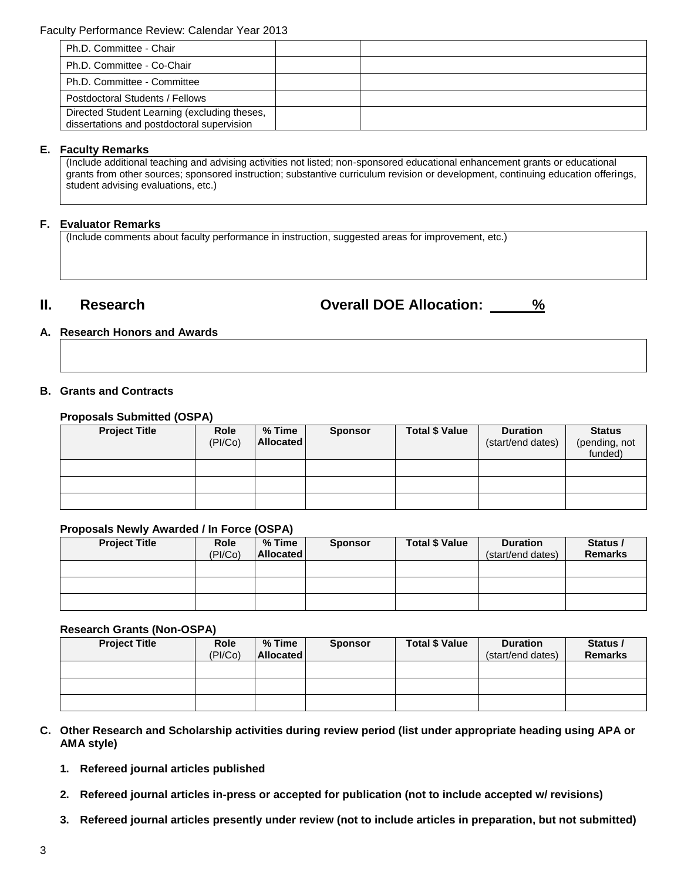| Ph.D. Committee - Chair                                                                    |  |
|--------------------------------------------------------------------------------------------|--|
| Ph.D. Committee - Co-Chair                                                                 |  |
| Ph.D. Committee - Committee                                                                |  |
| Postdoctoral Students / Fellows                                                            |  |
| Directed Student Learning (excluding theses,<br>dissertations and postdoctoral supervision |  |

## **E. Faculty Remarks**

(Include additional teaching and advising activities not listed; non-sponsored educational enhancement grants or educational grants from other sources; sponsored instruction; substantive curriculum revision or development, continuing education offerings, student advising evaluations, etc.)

## **F. Evaluator Remarks**

(Include comments about faculty performance in instruction, suggested areas for improvement, etc.)

**II. Research Overall DOE Allocation: %**

## **A. Research Honors and Awards**

## **B. Grants and Contracts**

## **Proposals Submitted (OSPA)**

| <b>Project Title</b> | Role<br>(PI/Co) | $%$ Time<br>Allocated | <b>Sponsor</b> | <b>Total \$ Value</b> | <b>Duration</b><br>(start/end dates) | <b>Status</b><br>(pending, not<br>funded) |
|----------------------|-----------------|-----------------------|----------------|-----------------------|--------------------------------------|-------------------------------------------|
|                      |                 |                       |                |                       |                                      |                                           |
|                      |                 |                       |                |                       |                                      |                                           |
|                      |                 |                       |                |                       |                                      |                                           |

## **Proposals Newly Awarded / In Force (OSPA)**

| <b>Project Title</b> | <b>Role</b><br>(PI/Co) | % Time<br><b>Allocated</b> | <b>Sponsor</b> | <b>Total \$ Value</b> | <b>Duration</b><br>(start/end dates) | Status /<br><b>Remarks</b> |
|----------------------|------------------------|----------------------------|----------------|-----------------------|--------------------------------------|----------------------------|
|                      |                        |                            |                |                       |                                      |                            |
|                      |                        |                            |                |                       |                                      |                            |
|                      |                        |                            |                |                       |                                      |                            |

## **Research Grants (Non-OSPA)**

| <b>Project Title</b> | <b>Role</b><br>(PI/Co) | % Time<br><b>Allocated</b> | <b>Sponsor</b> | <b>Total \$ Value</b> | <b>Duration</b><br>(start/end dates) | Status /<br><b>Remarks</b> |
|----------------------|------------------------|----------------------------|----------------|-----------------------|--------------------------------------|----------------------------|
|                      |                        |                            |                |                       |                                      |                            |
|                      |                        |                            |                |                       |                                      |                            |
|                      |                        |                            |                |                       |                                      |                            |

- **C. Other Research and Scholarship activities during review period (list under appropriate heading using APA or AMA style)**
	- **1. Refereed journal articles published**
	- **2. Refereed journal articles in-press or accepted for publication (not to include accepted w/ revisions)**
	- **3. Refereed journal articles presently under review (not to include articles in preparation, but not submitted)**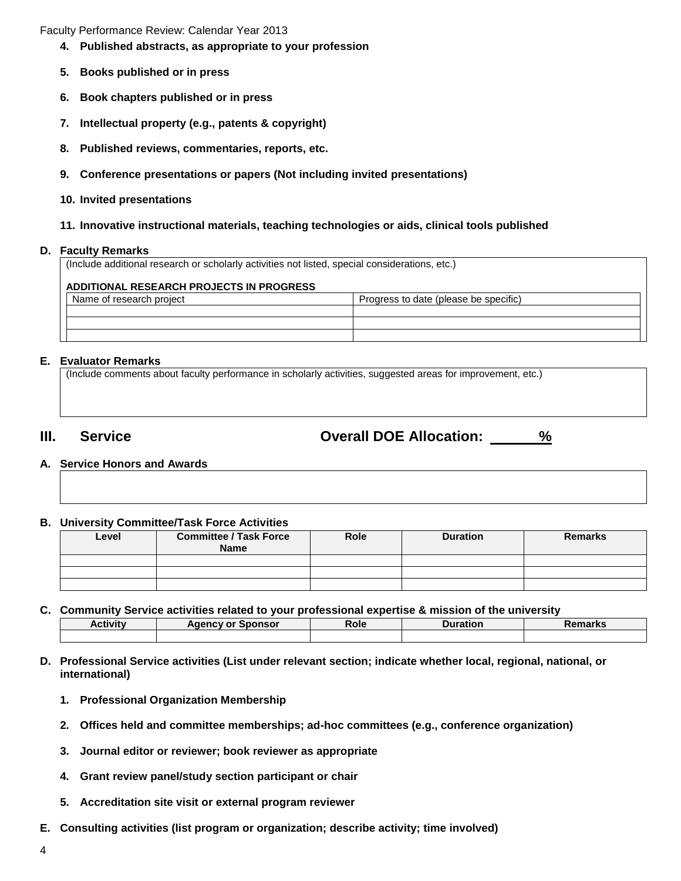Faculty Performance Review: Calendar Year 2013

- **4. Published abstracts, as appropriate to your profession**
- **5. Books published or in press**
- **6. Book chapters published or in press**
- **7. Intellectual property (e.g., patents & copyright)**
- **8. Published reviews, commentaries, reports, etc.**
- **9. Conference presentations or papers (Not including invited presentations)**
- **10. Invited presentations**

### **11. Innovative instructional materials, teaching technologies or aids, clinical tools published**

### **D. Faculty Remarks**

(Include additional research or scholarly activities not listed, special considerations, etc.) **ADDITIONAL RESEARCH PROJECTS IN PROGRESS** Name of research project **Progress to date (please be specific)** Progress to date (please be specific)

## **E. Evaluator Remarks**

(Include comments about faculty performance in scholarly activities, suggested areas for improvement, etc.)

**III. Service Overall DOE Allocation: %**

**A. Service Honors and Awards**

### **B. University Committee/Task Force Activities**

| Level | <b>Committee / Task Force</b><br><b>Name</b> |  | <b>Duration</b> | <b>Remarks</b> |
|-------|----------------------------------------------|--|-----------------|----------------|
|       |                                              |  |                 |                |
|       |                                              |  |                 |                |
|       |                                              |  |                 |                |

**C. Community Service activities related to your professional expertise & mission of the university**

| <b>Activity</b> | <b>Agency or Sponsor</b> | Role | Duration | Damarka<br>או וסו |
|-----------------|--------------------------|------|----------|-------------------|
|                 |                          |      |          |                   |

- **D. Professional Service activities (List under relevant section; indicate whether local, regional, national, or international)**
	- **1. Professional Organization Membership**
	- **2. Offices held and committee memberships; ad-hoc committees (e.g., conference organization)**
	- **3. Journal editor or reviewer; book reviewer as appropriate**
	- **4. Grant review panel/study section participant or chair**
	- **5. Accreditation site visit or external program reviewer**
- **E. Consulting activities (list program or organization; describe activity; time involved)**
- 4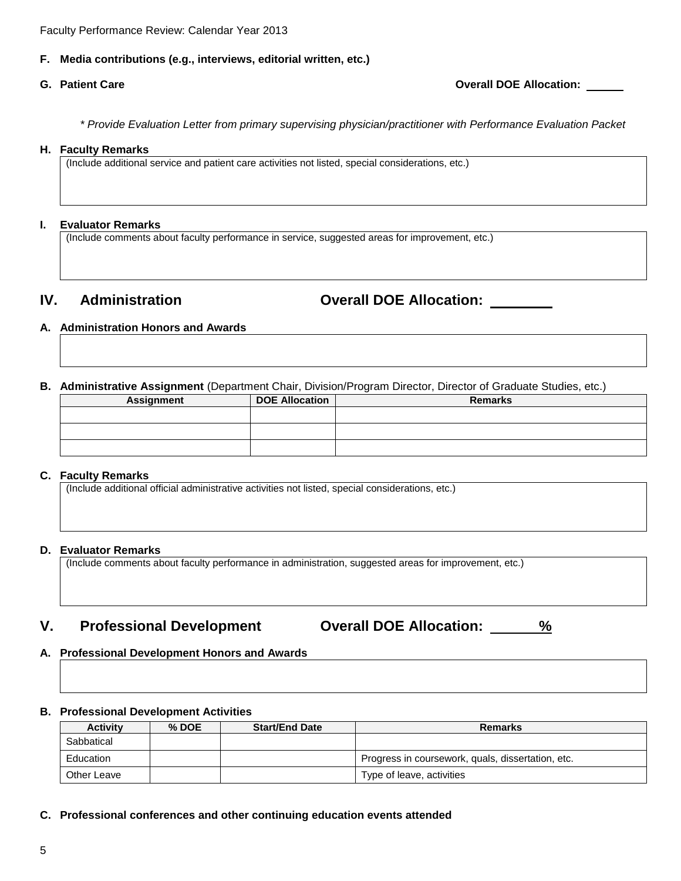Faculty Performance Review: Calendar Year 2013

## **F. Media contributions (e.g., interviews, editorial written, etc.)**

**G. Patient Care Overall DOE Allocation:** 

*\* Provide Evaluation Letter from primary supervising physician/practitioner with Performance Evaluation Packet*

#### **H. Faculty Remarks**

(Include additional service and patient care activities not listed, special considerations, etc.)

### **I. Evaluator Remarks**

(Include comments about faculty performance in service, suggested areas for improvement, etc.)

**IV. Administration Overall DOE Allocation:** 

## **A. Administration Honors and Awards**

**B. Administrative Assignment** (Department Chair, Division/Program Director, Director of Graduate Studies, etc.)

| <b>Assignment</b> |  | <b>DOE Allocation</b> | <b>Remarks</b> |
|-------------------|--|-----------------------|----------------|
|                   |  |                       |                |
|                   |  |                       |                |
|                   |  |                       |                |

### **C. Faculty Remarks**

(Include additional official administrative activities not listed, special considerations, etc.)

## **D. Evaluator Remarks**

(Include comments about faculty performance in administration, suggested areas for improvement, etc.)

# **V. Professional Development Overall DOE Allocation: %**

## **A. Professional Development Honors and Awards**

## **B. Professional Development Activities**

| <b>Activity</b> | $%$ DOE | <b>Start/End Date</b> | Remarks                                           |
|-----------------|---------|-----------------------|---------------------------------------------------|
| Sabbatical      |         |                       |                                                   |
| Education       |         |                       | Progress in coursework, quals, dissertation, etc. |
| Other Leave     |         |                       | Type of leave, activities                         |

**C. Professional conferences and other continuing education events attended**